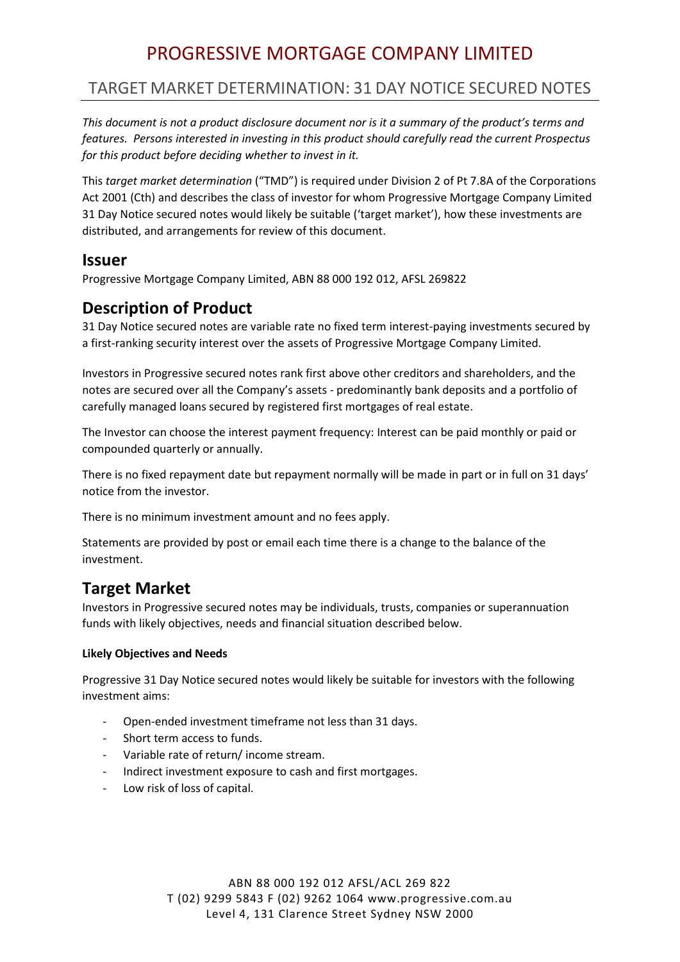# PROGRESSIVE MORTGAGE COMPANY LIMITED

# TARGET MARKET DETERMINATION: 31 DAY NOTICE SECURED NOTES

*This document is not a product disclosure document nor is it a summary of the product's terms and features. Persons interested in investing in this product should carefully read the current Prospectus for this product before deciding whether to invest in it.* 

This *target market determination* ("TMD") is required under Division 2 of Pt 7.8A of the Corporations Act 2001 (Cth) and describes the class of investor for whom Progressive Mortgage Company Limited 31 Day Notice secured notes would likely be suitable ('target market'), how these investments are distributed, and arrangements for review of this document.

### **Issuer**

Progressive Mortgage Company Limited, ABN 88 000 192 012, AFSL 269822

# **Description of Product**

31 Day Notice secured notes are variable rate no fixed term interest-paying investments secured by a first-ranking security interest over the assets of Progressive Mortgage Company Limited.

Investors in Progressive secured notes rank first above other creditors and shareholders, and the notes are secured over all the Company's assets - predominantly bank deposits and a portfolio of carefully managed loans secured by registered first mortgages of real estate.

The Investor can choose the interest payment frequency: Interest can be paid monthly or paid or compounded quarterly or annually.

There is no fixed repayment date but repayment normally will be made in part or in full on 31 days' notice from the investor.

There is no minimum investment amount and no fees apply.

Statements are provided by post or email each time there is a change to the balance of the investment.

# **Target Market**

Investors in Progressive secured notes may be individuals, trusts, companies or superannuation funds with likely objectives, needs and financial situation described below.

#### **Likely Objectives and Needs**

Progressive 31 Day Notice secured notes would likely be suitable for investors with the following investment aims:

- Open-ended investment timeframe not less than 31 days.
- Short term access to funds.
- Variable rate of return/ income stream.
- Indirect investment exposure to cash and first mortgages.
- Low risk of loss of capital.